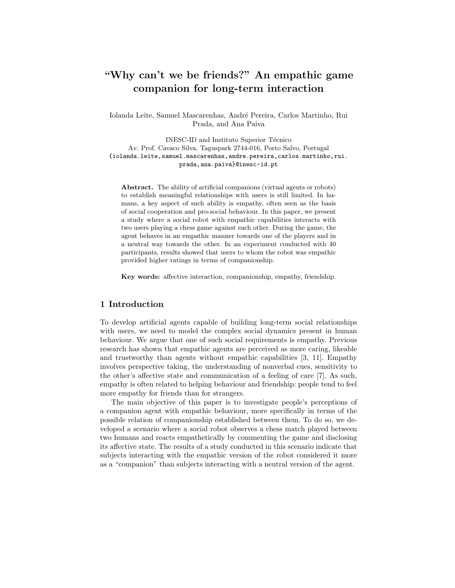# "Why can't we be friends?" An empathic game companion for long-term interaction

Iolanda Leite, Samuel Mascarenhas, Andr´e Pereira, Carlos Martinho, Rui Prada, and Ana Paiva

INESC-ID and Instituto Superior Técnico Av. Prof. Cavaco Silva, Taguspark 2744-016, Porto Salvo, Portugal {iolanda.leite,samuel.mascarenhas,andre.pereira,carlos.martinho,rui. prada,ana.paiva}@inesc-id.pt

Abstract. The ability of artificial companions (virtual agents or robots) to establish meaningful relationships with users is still limited. In humans, a key aspect of such ability is empathy, often seen as the basis of social cooperation and pro-social behaviour. In this paper, we present a study where a social robot with empathic capabilities interacts with two users playing a chess game against each other. During the game, the agent behaves in an empathic manner towards one of the players and in a neutral way towards the other. In an experiment conducted with 40 participants, results showed that users to whom the robot was empathic provided higher ratings in terms of companionship.

Key words: affective interaction, companionship, empathy, friendship.

# 1 Introduction

To develop artificial agents capable of building long-term social relationships with users, we need to model the complex social dynamics present in human behaviour. We argue that one of such social requirements is empathy. Previous research has shown that empathic agents are perceived as more caring, likeable and trustworthy than agents without empathic capabilities [3, 11]. Empathy involves perspective taking, the understanding of nonverbal cues, sensitivity to the other's affective state and communication of a feeling of care [7]. As such, empathy is often related to helping behaviour and friendship: people tend to feel more empathy for friends than for strangers.

The main objective of this paper is to investigate people's perceptions of a companion agent with empathic behaviour, more specifically in terms of the possible relation of companionship established between them. To do so, we developed a scenario where a social robot observes a chess match played between two humans and reacts empathetically by commenting the game and disclosing its affective state. The results of a study conducted in this scenario indicate that subjects interacting with the empathic version of the robot considered it more as a "companion" than subjects interacting with a neutral version of the agent.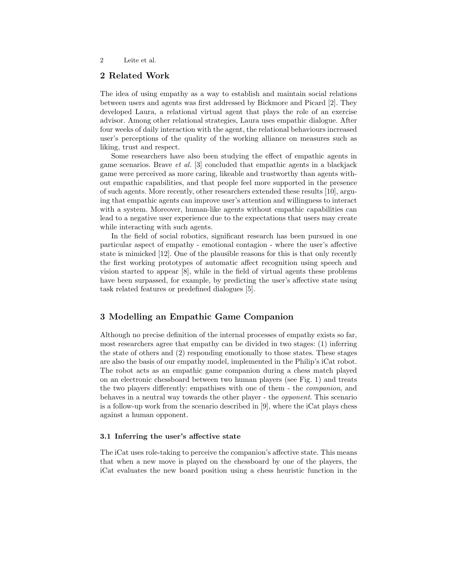## 2 Related Work

The idea of using empathy as a way to establish and maintain social relations between users and agents was first addressed by Bickmore and Picard [2]. They developed Laura, a relational virtual agent that plays the role of an exercise advisor. Among other relational strategies, Laura uses empathic dialogue. After four weeks of daily interaction with the agent, the relational behaviours increased user's perceptions of the quality of the working alliance on measures such as liking, trust and respect.

Some researchers have also been studying the effect of empathic agents in game scenarios. Brave et al. [3] concluded that empathic agents in a blackjack game were perceived as more caring, likeable and trustworthy than agents without empathic capabilities, and that people feel more supported in the presence of such agents. More recently, other researchers extended these results [10], arguing that empathic agents can improve user's attention and willingness to interact with a system. Moreover, human-like agents without empathic capabilities can lead to a negative user experience due to the expectations that users may create while interacting with such agents.

In the field of social robotics, significant research has been pursued in one particular aspect of empathy - emotional contagion - where the user's affective state is mimicked [12]. One of the plausible reasons for this is that only recently the first working prototypes of automatic affect recognition using speech and vision started to appear [8], while in the field of virtual agents these problems have been surpassed, for example, by predicting the user's affective state using task related features or predefined dialogues [5].

## 3 Modelling an Empathic Game Companion

Although no precise definition of the internal processes of empathy exists so far, most researchers agree that empathy can be divided in two stages: (1) inferring the state of others and (2) responding emotionally to those states. These stages are also the basis of our empathy model, implemented in the Philip's iCat robot. The robot acts as an empathic game companion during a chess match played on an electronic chessboard between two human players (see Fig. 1) and treats the two players differently: empathises with one of them - the companion, and behaves in a neutral way towards the other player - the opponent. This scenario is a follow-up work from the scenario described in [9], where the iCat plays chess against a human opponent.

## 3.1 Inferring the user's affective state

The iCat uses role-taking to perceive the companion's affective state. This means that when a new move is played on the chessboard by one of the players, the iCat evaluates the new board position using a chess heuristic function in the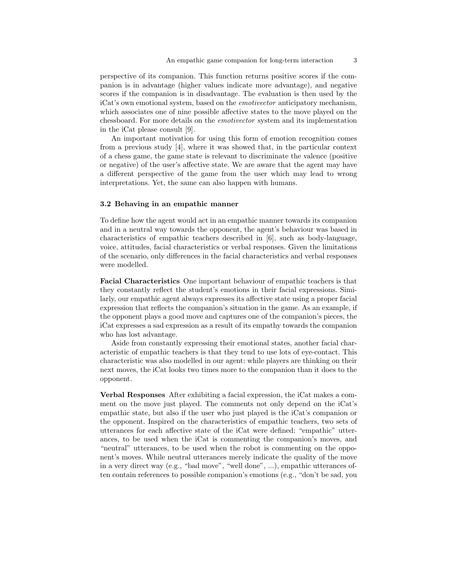perspective of its companion. This function returns positive scores if the companion is in advantage (higher values indicate more advantage), and negative scores if the companion is in disadvantage. The evaluation is then used by the iCat's own emotional system, based on the emotivector anticipatory mechanism, which associates one of nine possible affective states to the move played on the chessboard. For more details on the emotivector system and its implementation in the iCat please consult [9].

An important motivation for using this form of emotion recognition comes from a previous study [4], where it was showed that, in the particular context of a chess game, the game state is relevant to discriminate the valence (positive or negative) of the user's affective state. We are aware that the agent may have a different perspective of the game from the user which may lead to wrong interpretations. Yet, the same can also happen with humans.

## 3.2 Behaving in an empathic manner

To define how the agent would act in an empathic manner towards its companion and in a neutral way towards the opponent, the agent's behaviour was based in characteristics of empathic teachers described in [6], such as body-language, voice, attitudes, facial characteristics or verbal responses. Given the limitations of the scenario, only differences in the facial characteristics and verbal responses were modelled.

Facial Characteristics One important behaviour of empathic teachers is that they constantly reflect the student's emotions in their facial expressions. Similarly, our empathic agent always expresses its affective state using a proper facial expression that reflects the companion's situation in the game. As an example, if the opponent plays a good move and captures one of the companion's pieces, the iCat expresses a sad expression as a result of its empathy towards the companion who has lost advantage.

Aside from constantly expressing their emotional states, another facial characteristic of empathic teachers is that they tend to use lots of eye-contact. This characteristic was also modelled in our agent: while players are thinking on their next moves, the iCat looks two times more to the companion than it does to the opponent.

Verbal Responses After exhibiting a facial expression, the iCat makes a comment on the move just played. The comments not only depend on the iCat's empathic state, but also if the user who just played is the iCat's companion or the opponent. Inspired on the characteristics of empathic teachers, two sets of utterances for each affective state of the iCat were defined: "empathic" utterances, to be used when the iCat is commenting the companion's moves, and "neutral" utterances, to be used when the robot is commenting on the opponent's moves. While neutral utterances merely indicate the quality of the move in a very direct way (e.g., "bad move", "well done", ...), empathic utterances often contain references to possible companion's emotions (e.g., "don't be sad, you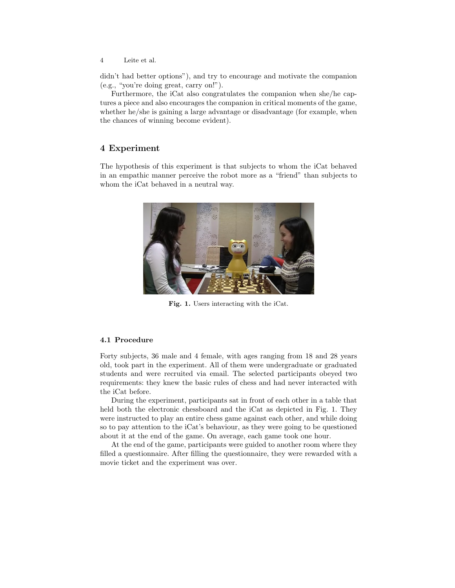4 Leite et al.

didn't had better options"), and try to encourage and motivate the companion (e.g., "you're doing great, carry on!").

Furthermore, the iCat also congratulates the companion when she/he captures a piece and also encourages the companion in critical moments of the game, whether he/she is gaining a large advantage or disadvantage (for example, when the chances of winning become evident).

## 4 Experiment

The hypothesis of this experiment is that subjects to whom the iCat behaved in an empathic manner perceive the robot more as a "friend" than subjects to whom the iCat behaved in a neutral way.



Fig. 1. Users interacting with the iCat.

#### 4.1 Procedure

Forty subjects, 36 male and 4 female, with ages ranging from 18 and 28 years old, took part in the experiment. All of them were undergraduate or graduated students and were recruited via email. The selected participants obeyed two requirements: they knew the basic rules of chess and had never interacted with the iCat before.

During the experiment, participants sat in front of each other in a table that held both the electronic chessboard and the iCat as depicted in Fig. 1. They were instructed to play an entire chess game against each other, and while doing so to pay attention to the iCat's behaviour, as they were going to be questioned about it at the end of the game. On average, each game took one hour.

At the end of the game, participants were guided to another room where they filled a questionnaire. After filling the questionnaire, they were rewarded with a movie ticket and the experiment was over.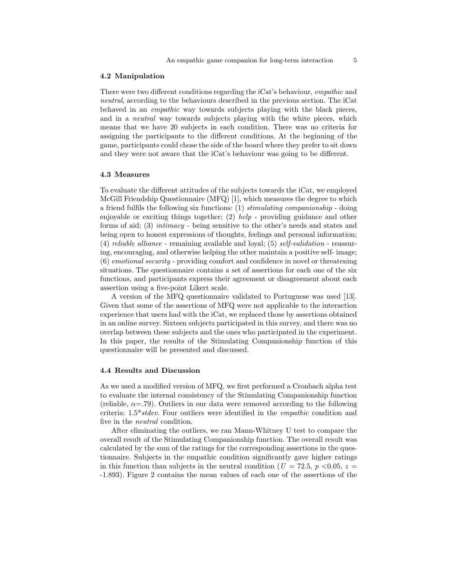#### 4.2 Manipulation

There were two different conditions regarding the iCat's behaviour, empathic and neutral, according to the behaviours described in the previous section. The iCat behaved in an empathic way towards subjects playing with the black pieces, and in a neutral way towards subjects playing with the white pieces, which means that we have 20 subjects in each condition. There was no criteria for assigning the participants to the different conditions. At the beginning of the game, participants could chose the side of the board where they prefer to sit down and they were not aware that the iCat's behaviour was going to be different.

#### 4.3 Measures

To evaluate the different attitudes of the subjects towards the iCat, we employed McGill Friendship Questionnaire (MFQ) [1], which measures the degree to which a friend fulfils the following six functions: (1) stimulating companionship - doing enjoyable or exciting things together; (2) help - providing guidance and other forms of aid; (3) intimacy - being sensitive to the other's needs and states and being open to honest expressions of thoughts, feelings and personal information; (4) reliable alliance - remaining available and loyal; (5) self-validation - reassuring, encouraging, and otherwise helping the other maintain a positive self- image; (6) emotional security - providing comfort and confidence in novel or threatening situations. The questionnaire contains a set of assertions for each one of the six functions, and participants express their agreement or disagreement about each assertion using a five-point Likert scale.

A version of the MFQ questionnaire validated to Portuguese was used [13]. Given that some of the assertions of MFQ were not applicable to the interaction experience that users had with the iCat, we replaced those by assertions obtained in an online survey. Sixteen subjects participated in this survey, and there was no overlap between these subjects and the ones who participated in the experiment. In this paper, the results of the Stimulating Companionship function of this questionnaire will be presented and discussed.

#### 4.4 Results and Discussion

As we used a modified version of MFQ, we first performed a Cronbach alpha test to evaluate the internal consistency of the Stimulating Companionship function (reliable,  $\alpha = .79$ ). Outliers in our data were removed according to the following criteria: 1.5\*stdev. Four outliers were identified in the empathic condition and five in the neutral condition.

After eliminating the outliers, we ran Mann-Whitney U test to compare the overall result of the Stimulating Companionship function. The overall result was calculated by the sum of the ratings for the corresponding assertions in the questionnaire. Subjects in the empathic condition significantly gave higher ratings in this function than subjects in the neutral condition ( $U = 72.5$ ,  $p < 0.05$ ,  $z =$ -1.893). Figure 2 contains the mean values of each one of the assertions of the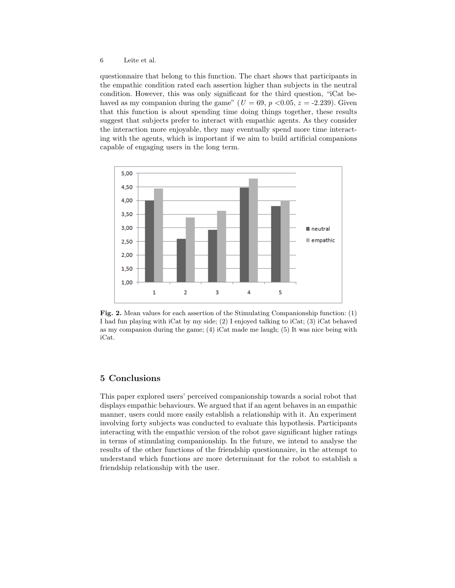### 6 Leite et al.

questionnaire that belong to this function. The chart shows that participants in the empathic condition rated each assertion higher than subjects in the neutral condition. However, this was only significant for the third question, "iCat behaved as my companion during the game" ( $U = 69$ ,  $p < 0.05$ ,  $z = -2.239$ ). Given that this function is about spending time doing things together, these results suggest that subjects prefer to interact with empathic agents. As they consider the interaction more enjoyable, they may eventually spend more time interacting with the agents, which is important if we aim to build artificial companions capable of engaging users in the long term.



Fig. 2. Mean values for each assertion of the Stimulating Companionship function: (1) I had fun playing with iCat by my side; (2) I enjoyed talking to iCat; (3) iCat behaved as my companion during the game; (4) iCat made me laugh; (5) It was nice being with iCat.

## 5 Conclusions

This paper explored users' perceived companionship towards a social robot that displays empathic behaviours. We argued that if an agent behaves in an empathic manner, users could more easily establish a relationship with it. An experiment involving forty subjects was conducted to evaluate this hypothesis. Participants interacting with the empathic version of the robot gave significant higher ratings in terms of stimulating companionship. In the future, we intend to analyse the results of the other functions of the friendship questionnaire, in the attempt to understand which functions are more determinant for the robot to establish a friendship relationship with the user.